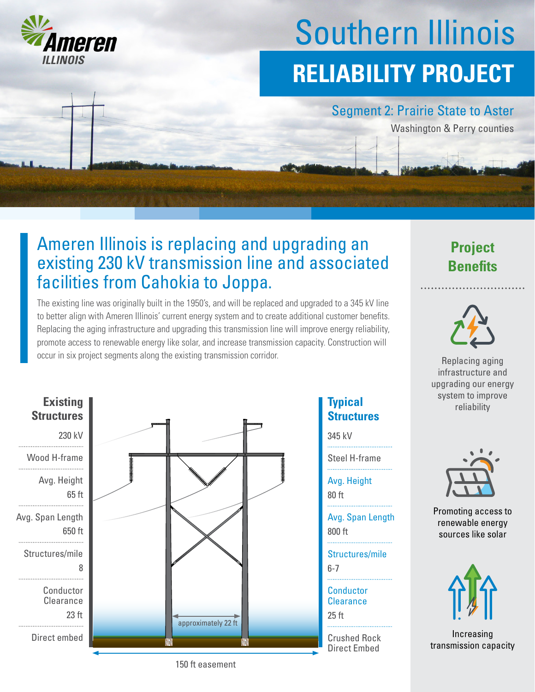

# Southern Illinois **RELIABILITY PROJECT**

#### Segment 2: Prairie State to Aster

Washington & Perry counties

### Ameren Illinois is replacing and upgrading an existing 230 kV transmission line and associated facilities from Cahokia to Joppa.

The existing line was originally built in the 1950's, and will be replaced and upgraded to a 345 kV line to better align with Ameren Illinois' current energy system and to create additional customer benefits. Replacing the aging infrastructure and upgrading this transmission line will improve energy reliability, promote access to renewable energy like solar, and increase transmission capacity. Construction will occur in six project segments along the existing transmission corridor. **Replacing aging** Replacing aging



## **Structures**

345 kV

Steel H-frame

Avg. Height

80 ft

800 ft Avg. Span Length

6-7 Structures/mile

25 ft **Conductor Clearance** 

Crushed Rock Direct Embed





infrastructure and upgrading our energy system to improve **Typical Typical Typical Typical Typical Typical Typical Typical Typical Typical Typical Typical Typical Typical Typical Typical Typical Typical Typical Typical Typical Typical T** 



Promoting access to renewable energy sources like solar



Increasing transmission capacity

150 ft easement